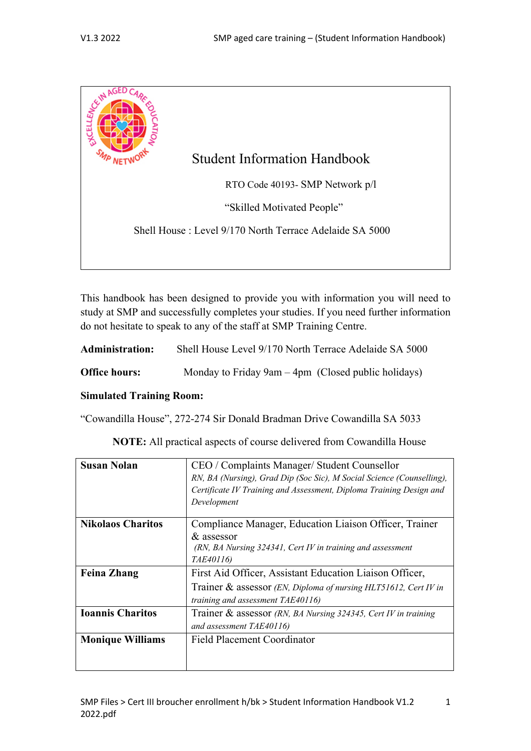

This handbook has been designed to provide you with information you will need to study at SMP and successfully completes your studies. If you need further information do not hesitate to speak to any of the staff at SMP Training Centre.

| <b>Administration:</b> | Shell House Level 9/170 North Terrace Adelaide SA 5000 |
|------------------------|--------------------------------------------------------|
| <b>Office hours:</b>   | Monday to Friday 9am $-4$ pm (Closed public holidays)  |

### **Simulated Training Room:**

"Cowandilla House", 272-274 Sir Donald Bradman Drive Cowandilla SA 5033

**NOTE:** All practical aspects of course delivered from Cowandilla House

| <b>Susan Nolan</b>       | CEO / Complaints Manager/ Student Counsellor                          |  |
|--------------------------|-----------------------------------------------------------------------|--|
|                          | RN, BA (Nursing), Grad Dip (Soc Sic), M Social Science (Counselling), |  |
|                          | Certificate IV Training and Assessment, Diploma Training Design and   |  |
|                          | Development                                                           |  |
| <b>Nikolaos Charitos</b> | Compliance Manager, Education Liaison Officer, Trainer                |  |
|                          | & assessor                                                            |  |
|                          | $(RN, BA$ Nursing 324341, Cert IV in training and assessment          |  |
|                          | TAE40116)                                                             |  |
| <b>Feina Zhang</b>       | First Aid Officer, Assistant Education Liaison Officer,               |  |
|                          | Trainer & assessor (EN, Diploma of nursing HLT51612, Cert IV in       |  |
|                          | training and assessment TAE40116)                                     |  |
| <b>Ioannis Charitos</b>  | Trainer & assessor (RN, BA Nursing 324345, Cert IV in training        |  |
|                          | and assessment TAE40116)                                              |  |
| <b>Monique Williams</b>  | <b>Field Placement Coordinator</b>                                    |  |
|                          |                                                                       |  |
|                          |                                                                       |  |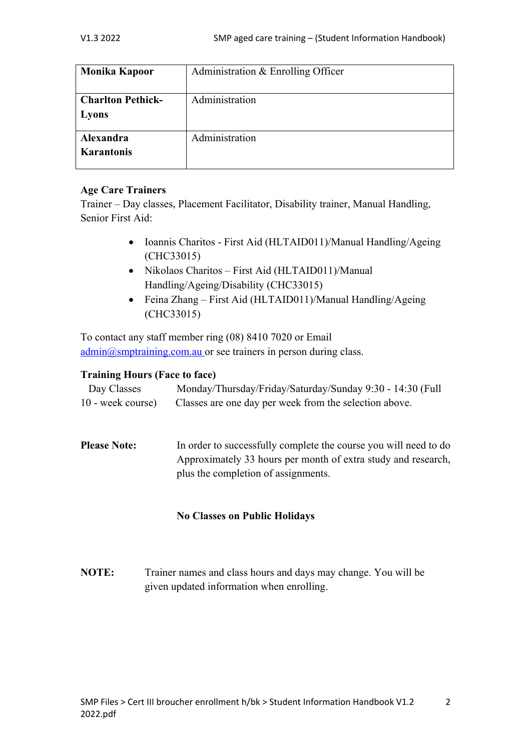| <b>Monika Kapoor</b>              | Administration & Enrolling Officer |
|-----------------------------------|------------------------------------|
| <b>Charlton Pethick-</b><br>Lyons | Administration                     |
| Alexandra<br><b>Karantonis</b>    | Administration                     |

## **Age Care Trainers**

Trainer – Day classes, Placement Facilitator, Disability trainer, Manual Handling, Senior First Aid:

- Ioannis Charitos First Aid (HLTAID011)/Manual Handling/Ageing (CHC33015)
- Nikolaos Charitos First Aid (HLTAID011)/Manual Handling/Ageing/Disability (CHC33015)
- Feina Zhang First Aid (HLTAID011)/Manual Handling/Ageing (CHC33015)

To contact any staff member ring (08) 8410 7020 or Email  $\underline{admin}$ ( $\alpha$ smptraining.com.au or see trainers in person during class.

## **Training Hours (Face to face)**

| Day Classes       | Monday/Thursday/Friday/Saturday/Sunday 9:30 - 14:30 (Full |
|-------------------|-----------------------------------------------------------|
| 10 - week course) | Classes are one day per week from the selection above.    |

**Please Note:** In order to successfully complete the course you will need to do Approximately 33 hours per month of extra study and research, plus the completion of assignments.

## **No Classes on Public Holidays**

**NOTE:** Trainer names and class hours and days may change. You will be given updated information when enrolling.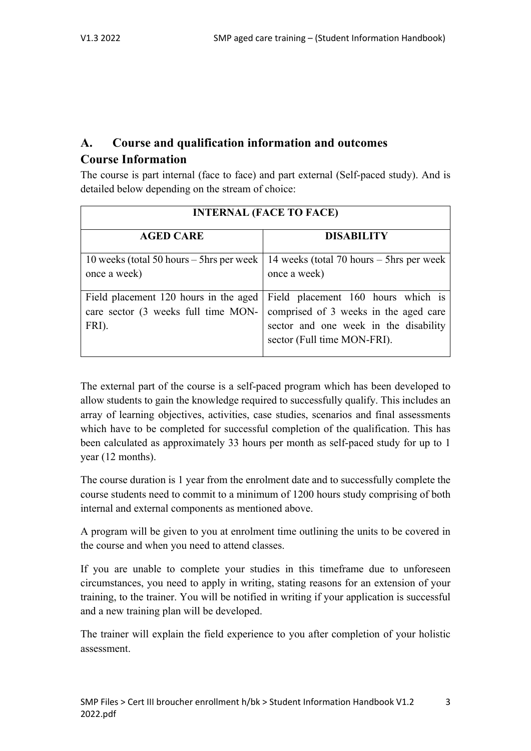# **A. Course and qualification information and outcomes Course Information**

The course is part internal (face to face) and part external (Self-paced study). And is detailed below depending on the stream of choice:

| <b>INTERNAL (FACE TO FACE)</b>                                                        |                                                                                                                                                     |  |  |
|---------------------------------------------------------------------------------------|-----------------------------------------------------------------------------------------------------------------------------------------------------|--|--|
| <b>AGED CARE</b>                                                                      | <b>DISABILITY</b>                                                                                                                                   |  |  |
| once a week)                                                                          | 10 weeks (total 50 hours – 5 hrs per week   14 weeks (total 70 hours – 5 hrs per week<br>once a week)                                               |  |  |
| Field placement 120 hours in the aged<br>care sector (3 weeks full time MON-<br>FRI). | Field placement 160 hours which is<br>comprised of 3 weeks in the aged care<br>sector and one week in the disability<br>sector (Full time MON-FRI). |  |  |

The external part of the course is a self-paced program which has been developed to allow students to gain the knowledge required to successfully qualify. This includes an array of learning objectives, activities, case studies, scenarios and final assessments which have to be completed for successful completion of the qualification. This has been calculated as approximately 33 hours per month as self-paced study for up to 1 year (12 months).

The course duration is 1 year from the enrolment date and to successfully complete the course students need to commit to a minimum of 1200 hours study comprising of both internal and external components as mentioned above.

A program will be given to you at enrolment time outlining the units to be covered in the course and when you need to attend classes.

If you are unable to complete your studies in this timeframe due to unforeseen circumstances, you need to apply in writing, stating reasons for an extension of your training, to the trainer. You will be notified in writing if your application is successful and a new training plan will be developed.

The trainer will explain the field experience to you after completion of your holistic assessment.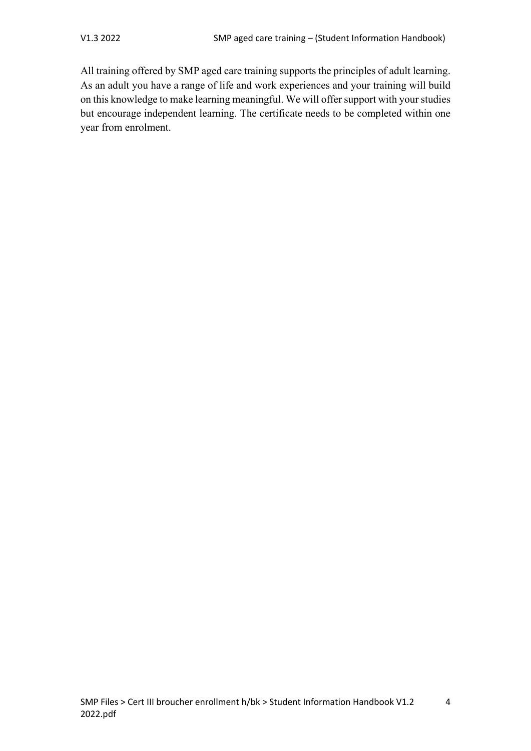All training offered by SMP aged care training supports the principles of adult learning. As an adult you have a range of life and work experiences and your training will build on this knowledge to make learning meaningful. We will offer support with your studies but encourage independent learning. The certificate needs to be completed within one year from enrolment.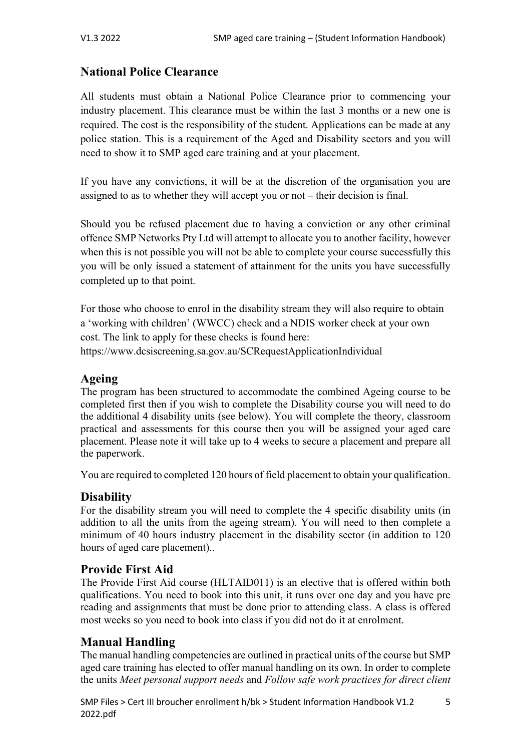# **National Police Clearance**

All students must obtain a National Police Clearance prior to commencing your industry placement. This clearance must be within the last 3 months or a new one is required. The cost is the responsibility of the student. Applications can be made at any police station. This is a requirement of the Aged and Disability sectors and you will need to show it to SMP aged care training and at your placement.

If you have any convictions, it will be at the discretion of the organisation you are assigned to as to whether they will accept you or not – their decision is final.

Should you be refused placement due to having a conviction or any other criminal offence SMP Networks Pty Ltd will attempt to allocate you to another facility, however when this is not possible you will not be able to complete your course successfully this you will be only issued a statement of attainment for the units you have successfully completed up to that point.

For those who choose to enrol in the disability stream they will also require to obtain a 'working with children' (WWCC) check and a NDIS worker check at your own cost. The link to apply for these checks is found here: https://www.dcsiscreening.sa.gov.au/SCRequestApplicationIndividual

# **Ageing**

The program has been structured to accommodate the combined Ageing course to be completed first then if you wish to complete the Disability course you will need to do the additional 4 disability units (see below). You will complete the theory, classroom practical and assessments for this course then you will be assigned your aged care placement. Please note it will take up to 4 weeks to secure a placement and prepare all the paperwork.

You are required to completed 120 hours of field placement to obtain your qualification.

# **Disability**

For the disability stream you will need to complete the 4 specific disability units (in addition to all the units from the ageing stream). You will need to then complete a minimum of 40 hours industry placement in the disability sector (in addition to 120 hours of aged care placement)..

# **Provide First Aid**

The Provide First Aid course (HLTAID011) is an elective that is offered within both qualifications. You need to book into this unit, it runs over one day and you have pre reading and assignments that must be done prior to attending class. A class is offered most weeks so you need to book into class if you did not do it at enrolment.

# **Manual Handling**

The manual handling competencies are outlined in practical units of the course but SMP aged care training has elected to offer manual handling on its own. In order to complete the units *Meet personal support needs* and *Follow safe work practices for direct client*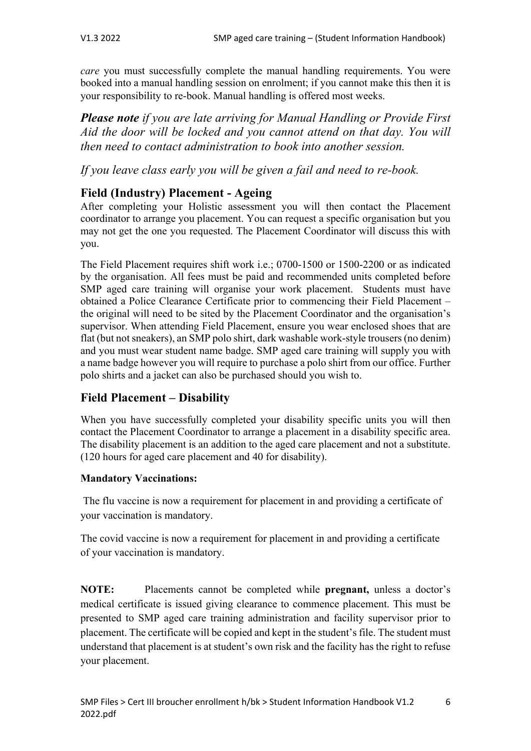*care* you must successfully complete the manual handling requirements. You were booked into a manual handling session on enrolment; if you cannot make this then it is your responsibility to re-book. Manual handling is offered most weeks.

*Please note if you are late arriving for Manual Handling or Provide First Aid the door will be locked and you cannot attend on that day. You will then need to contact administration to book into another session.*

*If you leave class early you will be given a fail and need to re-book.*

# **Field (Industry) Placement - Ageing**

After completing your Holistic assessment you will then contact the Placement coordinator to arrange you placement. You can request a specific organisation but you may not get the one you requested. The Placement Coordinator will discuss this with you.

The Field Placement requires shift work i.e.; 0700-1500 or 1500-2200 or as indicated by the organisation. All fees must be paid and recommended units completed before SMP aged care training will organise your work placement. Students must have obtained a Police Clearance Certificate prior to commencing their Field Placement – the original will need to be sited by the Placement Coordinator and the organisation's supervisor. When attending Field Placement, ensure you wear enclosed shoes that are flat (but not sneakers), an SMP polo shirt, dark washable work-style trousers (no denim) and you must wear student name badge. SMP aged care training will supply you with a name badge however you will require to purchase a polo shirt from our office. Further polo shirts and a jacket can also be purchased should you wish to.

# **Field Placement – Disability**

When you have successfully completed your disability specific units you will then contact the Placement Coordinator to arrange a placement in a disability specific area. The disability placement is an addition to the aged care placement and not a substitute. (120 hours for aged care placement and 40 for disability).

## **Mandatory Vaccinations:**

The flu vaccine is now a requirement for placement in and providing a certificate of your vaccination is mandatory.

The covid vaccine is now a requirement for placement in and providing a certificate of your vaccination is mandatory.

**NOTE:** Placements cannot be completed while **pregnant,** unless a doctor's medical certificate is issued giving clearance to commence placement. This must be presented to SMP aged care training administration and facility supervisor prior to placement. The certificate will be copied and kept in the student's file. The student must understand that placement is at student's own risk and the facility has the right to refuse your placement.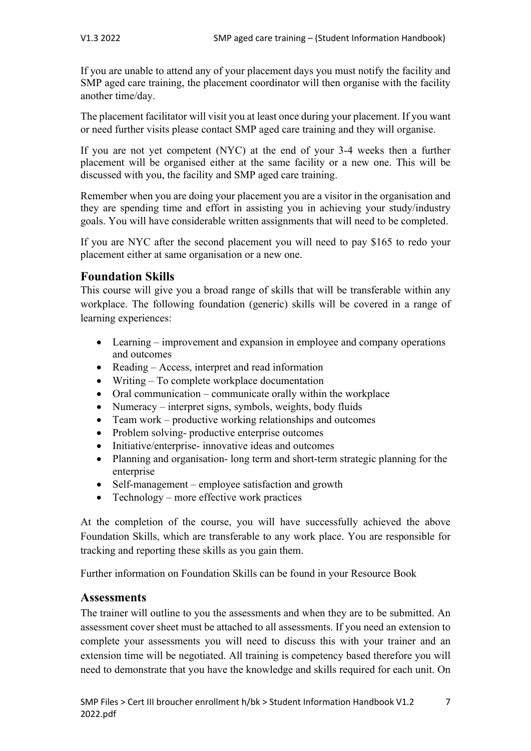If you are unable to attend any of your placement days you must notify the facility and SMP aged care training, the placement coordinator will then organise with the facility another time/day.

The placement facilitator will visit you at least once during your placement. If you want or need further visits please contact SMP aged care training and they will organise.

If you are not yet competent (NYC) at the end of your 3-4 weeks then a further placement will be organised either at the same facility or a new one. This will be discussed with you, the facility and SMP aged care training.

Remember when you are doing your placement you are a visitor in the organisation and they are spending time and effort in assisting you in achieving your study/industry goals. You will have considerable written assignments that will need to be completed.

If you are NYC after the second placement you will need to pay \$165 to redo your placement either at same organisation or a new one.

# **Foundation Skills**

This course will give you a broad range of skills that will be transferable within any workplace. The following foundation (generic) skills will be covered in a range of learning experiences:

- Learning improvement and expansion in employee and company operations and outcomes
- Reading Access, interpret and read information
- Writing To complete workplace documentation
- Oral communication communicate orally within the workplace
- Numeracy interpret signs, symbols, weights, body fluids
- Team work productive working relationships and outcomes
- Problem solving- productive enterprise outcomes
- Initiative/enterprise- innovative ideas and outcomes
- Planning and organisation- long term and short-term strategic planning for the enterprise
- Self-management employee satisfaction and growth
- Technology more effective work practices

At the completion of the course, you will have successfully achieved the above Foundation Skills, which are transferable to any work place. You are responsible for tracking and reporting these skills as you gain them.

Further information on Foundation Skills can be found in your Resource Book

# **Assessments**

The trainer will outline to you the assessments and when they are to be submitted. An assessment cover sheet must be attached to all assessments. If you need an extension to complete your assessments you will need to discuss this with your trainer and an extension time will be negotiated. All training is competency based therefore you will need to demonstrate that you have the knowledge and skills required for each unit. On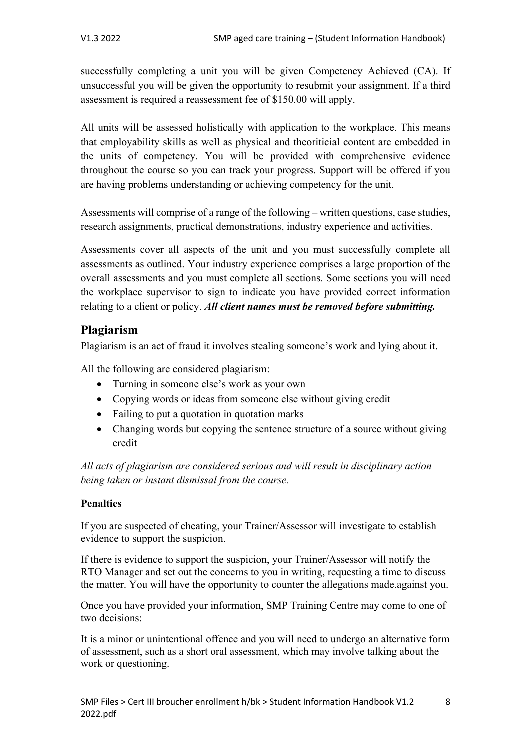successfully completing a unit you will be given Competency Achieved (CA). If unsuccessful you will be given the opportunity to resubmit your assignment. If a third assessment is required a reassessment fee of \$150.00 will apply.

All units will be assessed holistically with application to the workplace. This means that employability skills as well as physical and theoriticial content are embedded in the units of competency. You will be provided with comprehensive evidence throughout the course so you can track your progress. Support will be offered if you are having problems understanding or achieving competency for the unit.

Assessments will comprise of a range of the following – written questions, case studies, research assignments, practical demonstrations, industry experience and activities.

Assessments cover all aspects of the unit and you must successfully complete all assessments as outlined. Your industry experience comprises a large proportion of the overall assessments and you must complete all sections. Some sections you will need the workplace supervisor to sign to indicate you have provided correct information relating to a client or policy. *All client names must be removed before submitting.*

# **Plagiarism**

Plagiarism is an act of fraud it involves stealing someone's work and lying about it.

All the following are considered plagiarism:

- Turning in someone else's work as your own
- Copying words or ideas from someone else without giving credit
- Failing to put a quotation in quotation marks
- Changing words but copying the sentence structure of a source without giving credit

*All acts of plagiarism are considered serious and will result in disciplinary action being taken or instant dismissal from the course.*

## **Penalties**

If you are suspected of cheating, your Trainer/Assessor will investigate to establish evidence to support the suspicion.

If there is evidence to support the suspicion, your Trainer/Assessor will notify the RTO Manager and set out the concerns to you in writing, requesting a time to discuss the matter. You will have the opportunity to counter the allegations made.against you.

Once you have provided your information, SMP Training Centre may come to one of two decisions:

It is a minor or unintentional offence and you will need to undergo an alternative form of assessment, such as a short oral assessment, which may involve talking about the work or questioning.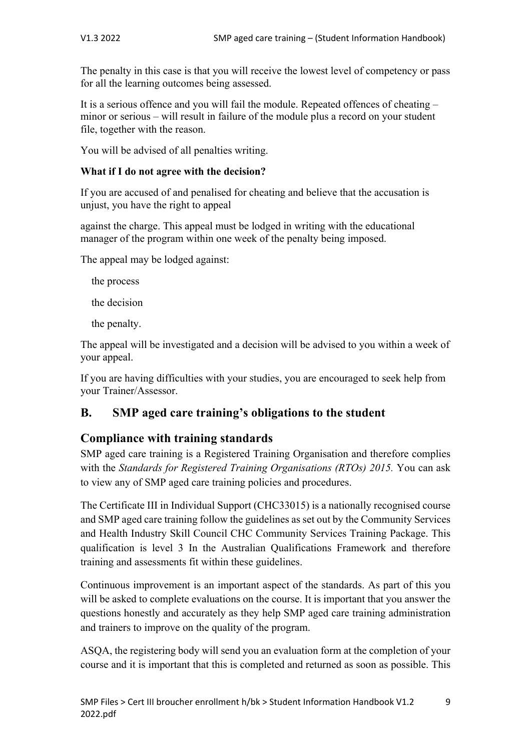The penalty in this case is that you will receive the lowest level of competency or pass for all the learning outcomes being assessed.

It is a serious offence and you will fail the module. Repeated offences of cheating – minor or serious – will result in failure of the module plus a record on your student file, together with the reason.

You will be advised of all penalties writing.

## **What if I do not agree with the decision?**

If you are accused of and penalised for cheating and believe that the accusation is unjust, you have the right to appeal

against the charge. This appeal must be lodged in writing with the educational manager of the program within one week of the penalty being imposed.

The appeal may be lodged against:

the process

the decision

the penalty.

The appeal will be investigated and a decision will be advised to you within a week of your appeal.

If you are having difficulties with your studies, you are encouraged to seek help from your Trainer/Assessor.

# **B. SMP aged care training's obligations to the student**

# **Compliance with training standards**

SMP aged care training is a Registered Training Organisation and therefore complies with the *Standards for Registered Training Organisations (RTOs) 2015.* You can ask to view any of SMP aged care training policies and procedures.

The Certificate III in Individual Support (CHC33015) is a nationally recognised course and SMP aged care training follow the guidelines as set out by the Community Services and Health Industry Skill Council CHC Community Services Training Package. This qualification is level 3 In the Australian Qualifications Framework and therefore training and assessments fit within these guidelines.

Continuous improvement is an important aspect of the standards. As part of this you will be asked to complete evaluations on the course. It is important that you answer the questions honestly and accurately as they help SMP aged care training administration and trainers to improve on the quality of the program.

ASQA, the registering body will send you an evaluation form at the completion of your course and it is important that this is completed and returned as soon as possible. This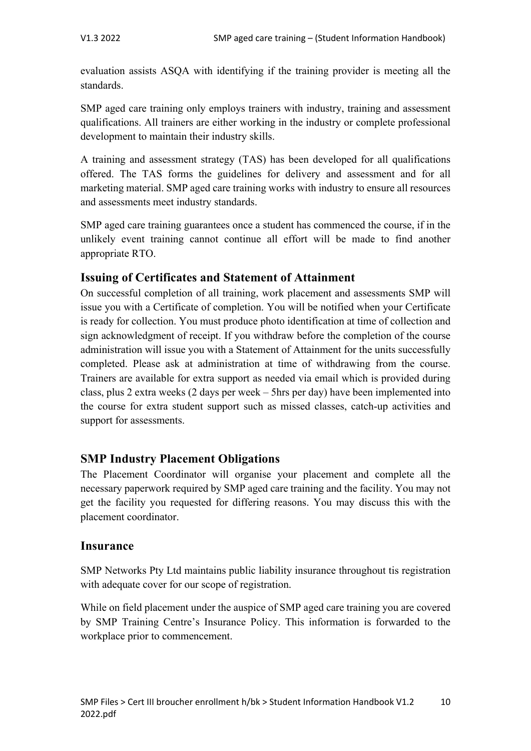evaluation assists ASQA with identifying if the training provider is meeting all the standards.

SMP aged care training only employs trainers with industry, training and assessment qualifications. All trainers are either working in the industry or complete professional development to maintain their industry skills.

A training and assessment strategy (TAS) has been developed for all qualifications offered. The TAS forms the guidelines for delivery and assessment and for all marketing material. SMP aged care training works with industry to ensure all resources and assessments meet industry standards.

SMP aged care training guarantees once a student has commenced the course, if in the unlikely event training cannot continue all effort will be made to find another appropriate RTO.

# **Issuing of Certificates and Statement of Attainment**

On successful completion of all training, work placement and assessments SMP will issue you with a Certificate of completion. You will be notified when your Certificate is ready for collection. You must produce photo identification at time of collection and sign acknowledgment of receipt. If you withdraw before the completion of the course administration will issue you with a Statement of Attainment for the units successfully completed. Please ask at administration at time of withdrawing from the course. Trainers are available for extra support as needed via email which is provided during class, plus 2 extra weeks (2 days per week – 5hrs per day) have been implemented into the course for extra student support such as missed classes, catch-up activities and support for assessments.

# **SMP Industry Placement Obligations**

The Placement Coordinator will organise your placement and complete all the necessary paperwork required by SMP aged care training and the facility. You may not get the facility you requested for differing reasons. You may discuss this with the placement coordinator.

## **Insurance**

SMP Networks Pty Ltd maintains public liability insurance throughout tis registration with adequate cover for our scope of registration.

While on field placement under the auspice of SMP aged care training you are covered by SMP Training Centre's Insurance Policy. This information is forwarded to the workplace prior to commencement.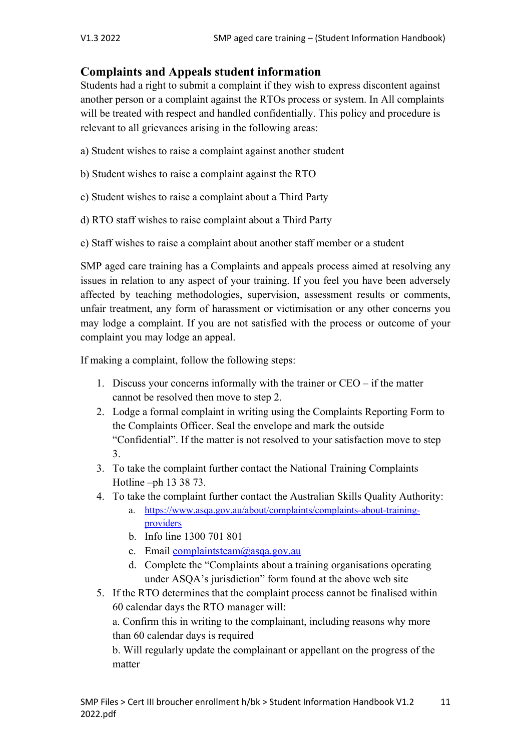# **Complaints and Appeals student information**

Students had a right to submit a complaint if they wish to express discontent against another person or a complaint against the RTOs process or system. In All complaints will be treated with respect and handled confidentially. This policy and procedure is relevant to all grievances arising in the following areas:

- a) Student wishes to raise a complaint against another student
- b) Student wishes to raise a complaint against the RTO
- c) Student wishes to raise a complaint about a Third Party
- d) RTO staff wishes to raise complaint about a Third Party
- e) Staff wishes to raise a complaint about another staff member or a student

SMP aged care training has a Complaints and appeals process aimed at resolving any issues in relation to any aspect of your training. If you feel you have been adversely affected by teaching methodologies, supervision, assessment results or comments, unfair treatment, any form of harassment or victimisation or any other concerns you may lodge a complaint. If you are not satisfied with the process or outcome of your complaint you may lodge an appeal.

If making a complaint, follow the following steps:

- 1. Discuss your concerns informally with the trainer or CEO if the matter cannot be resolved then move to step 2.
- 2. Lodge a formal complaint in writing using the Complaints Reporting Form to the Complaints Officer. Seal the envelope and mark the outside "Confidential". If the matter is not resolved to your satisfaction move to step 3.
- 3. To take the complaint further contact the National Training Complaints Hotline –ph 13 38 73.
- 4. To take the complaint further contact the Australian Skills Quality Authority: a. https://www.asqa.gov.au/about/complaints/complaints-about-training
	- providers
	- b. Info line 1300 701 801
	- c. Email complaintsteam@asqa.gov.au
	- d. Complete the "Complaints about a training organisations operating under ASQA's jurisdiction" form found at the above web site
- 5. If the RTO determines that the complaint process cannot be finalised within 60 calendar days the RTO manager will:

a. Confirm this in writing to the complainant, including reasons why more than 60 calendar days is required

b. Will regularly update the complainant or appellant on the progress of the matter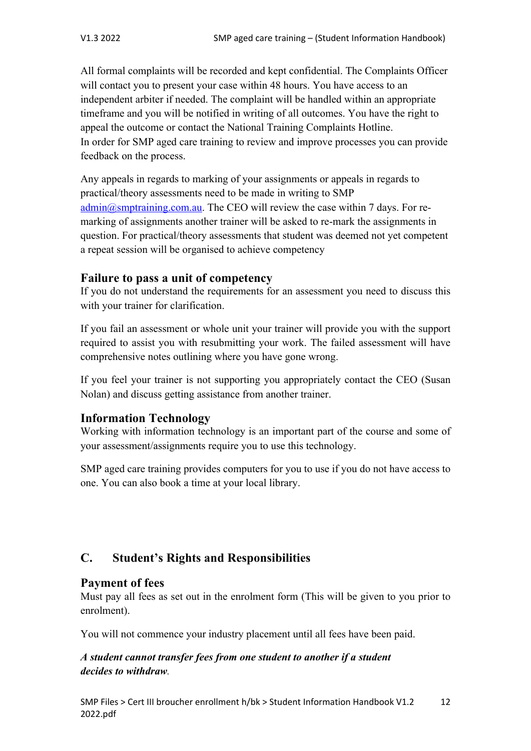All formal complaints will be recorded and kept confidential. The Complaints Officer will contact you to present your case within 48 hours. You have access to an independent arbiter if needed. The complaint will be handled within an appropriate timeframe and you will be notified in writing of all outcomes. You have the right to appeal the outcome or contact the National Training Complaints Hotline. In order for SMP aged care training to review and improve processes you can provide feedback on the process.

Any appeals in regards to marking of your assignments or appeals in regards to practical/theory assessments need to be made in writing to SMP admin@smptraining.com.au. The CEO will review the case within 7 days. For remarking of assignments another trainer will be asked to re-mark the assignments in question. For practical/theory assessments that student was deemed not yet competent a repeat session will be organised to achieve competency

## **Failure to pass a unit of competency**

If you do not understand the requirements for an assessment you need to discuss this with your trainer for clarification.

If you fail an assessment or whole unit your trainer will provide you with the support required to assist you with resubmitting your work. The failed assessment will have comprehensive notes outlining where you have gone wrong.

If you feel your trainer is not supporting you appropriately contact the CEO (Susan Nolan) and discuss getting assistance from another trainer.

# **Information Technology**

Working with information technology is an important part of the course and some of your assessment/assignments require you to use this technology.

SMP aged care training provides computers for you to use if you do not have access to one. You can also book a time at your local library.

# **C. Student's Rights and Responsibilities**

# **Payment of fees**

Must pay all fees as set out in the enrolment form (This will be given to you prior to enrolment).

You will not commence your industry placement until all fees have been paid.

## *A student cannot transfer fees from one student to another if a student decides to withdraw.*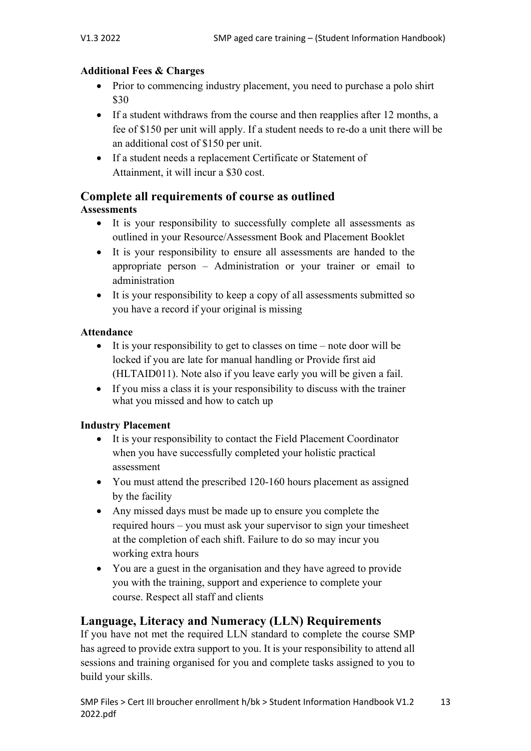## **Additional Fees & Charges**

- Prior to commencing industry placement, you need to purchase a polo shirt \$30
- If a student withdraws from the course and then reapplies after 12 months, a fee of \$150 per unit will apply. If a student needs to re-do a unit there will be an additional cost of \$150 per unit.
- If a student needs a replacement Certificate or Statement of Attainment, it will incur a \$30 cost.

# **Complete all requirements of course as outlined**

## **Assessments**

- It is your responsibility to successfully complete all assessments as outlined in your Resource/Assessment Book and Placement Booklet
- It is your responsibility to ensure all assessments are handed to the appropriate person – Administration or your trainer or email to administration
- It is your responsibility to keep a copy of all assessments submitted so you have a record if your original is missing

## **Attendance**

- It is your responsibility to get to classes on time note door will be locked if you are late for manual handling or Provide first aid (HLTAID011). Note also if you leave early you will be given a fail.
- If you miss a class it is your responsibility to discuss with the trainer what you missed and how to catch up

# **Industry Placement**

- It is your responsibility to contact the Field Placement Coordinator when you have successfully completed your holistic practical assessment
- You must attend the prescribed 120-160 hours placement as assigned by the facility
- Any missed days must be made up to ensure you complete the required hours – you must ask your supervisor to sign your timesheet at the completion of each shift. Failure to do so may incur you working extra hours
- You are a guest in the organisation and they have agreed to provide you with the training, support and experience to complete your course. Respect all staff and clients

# **Language, Literacy and Numeracy (LLN) Requirements**

If you have not met the required LLN standard to complete the course SMP has agreed to provide extra support to you. It is your responsibility to attend all sessions and training organised for you and complete tasks assigned to you to build your skills.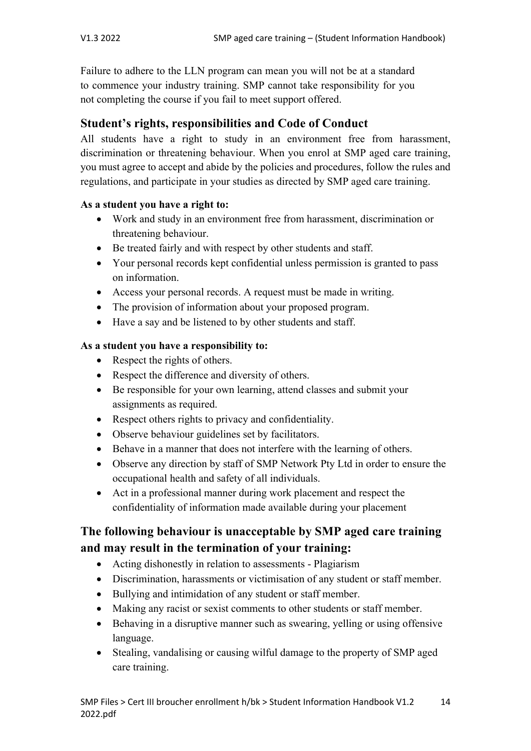Failure to adhere to the LLN program can mean you will not be at a standard to commence your industry training. SMP cannot take responsibility for you not completing the course if you fail to meet support offered.

# **Student's rights, responsibilities and Code of Conduct**

All students have a right to study in an environment free from harassment, discrimination or threatening behaviour. When you enrol at SMP aged care training, you must agree to accept and abide by the policies and procedures, follow the rules and regulations, and participate in your studies as directed by SMP aged care training.

### **As a student you have a right to:**

- Work and study in an environment free from harassment, discrimination or threatening behaviour.
- Be treated fairly and with respect by other students and staff.
- Your personal records kept confidential unless permission is granted to pass on information.
- Access your personal records. A request must be made in writing.
- The provision of information about your proposed program.
- Have a say and be listened to by other students and staff.

## **As a student you have a responsibility to:**

- Respect the rights of others.
- Respect the difference and diversity of others.
- Be responsible for your own learning, attend classes and submit your assignments as required.
- Respect others rights to privacy and confidentiality.
- Observe behaviour guidelines set by facilitators.
- Behave in a manner that does not interfere with the learning of others.
- Observe any direction by staff of SMP Network Pty Ltd in order to ensure the occupational health and safety of all individuals.
- Act in a professional manner during work placement and respect the confidentiality of information made available during your placement

# **The following behaviour is unacceptable by SMP aged care training and may result in the termination of your training:**

- Acting dishonestly in relation to assessments Plagiarism
- Discrimination, harassments or victimisation of any student or staff member.
- Bullying and intimidation of any student or staff member.
- Making any racist or sexist comments to other students or staff member.
- Behaving in a disruptive manner such as swearing, yelling or using offensive language.
- Stealing, vandalising or causing wilful damage to the property of SMP aged care training.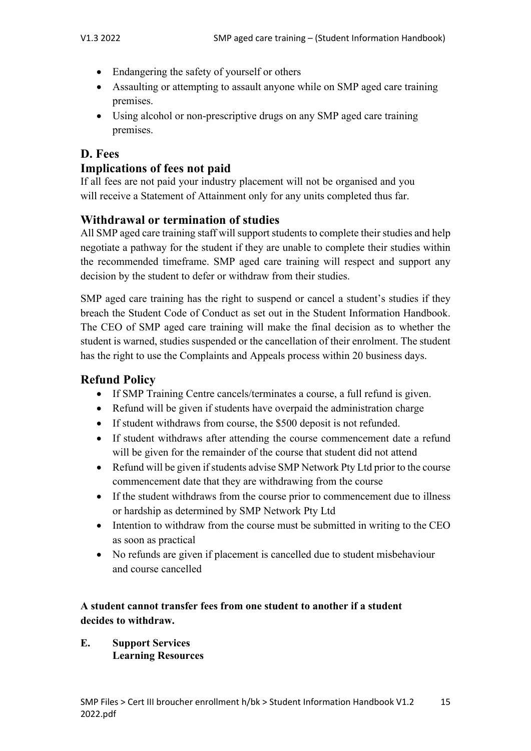- Endangering the safety of yourself or others
- Assaulting or attempting to assault anyone while on SMP aged care training premises.
- Using alcohol or non-prescriptive drugs on any SMP aged care training premises.

# **D. Fees**

## **Implications of fees not paid**

If all fees are not paid your industry placement will not be organised and you will receive a Statement of Attainment only for any units completed thus far.

# **Withdrawal or termination of studies**

All SMP aged care training staff will support students to complete their studies and help negotiate a pathway for the student if they are unable to complete their studies within the recommended timeframe. SMP aged care training will respect and support any decision by the student to defer or withdraw from their studies.

SMP aged care training has the right to suspend or cancel a student's studies if they breach the Student Code of Conduct as set out in the Student Information Handbook. The CEO of SMP aged care training will make the final decision as to whether the student is warned, studies suspended or the cancellation of their enrolment. The student has the right to use the Complaints and Appeals process within 20 business days.

# **Refund Policy**

- If SMP Training Centre cancels/terminates a course, a full refund is given.
- Refund will be given if students have overpaid the administration charge
- If student withdraws from course, the \$500 deposit is not refunded.
- If student withdraws after attending the course commencement date a refund will be given for the remainder of the course that student did not attend
- Refund will be given if students advise SMP Network Pty Ltd prior to the course commencement date that they are withdrawing from the course
- If the student withdraws from the course prior to commencement due to illness or hardship as determined by SMP Network Pty Ltd
- Intention to withdraw from the course must be submitted in writing to the CEO as soon as practical
- No refunds are given if placement is cancelled due to student misbehaviour and course cancelled

## **A student cannot transfer fees from one student to another if a student decides to withdraw.**

**E. Support Services Learning Resources**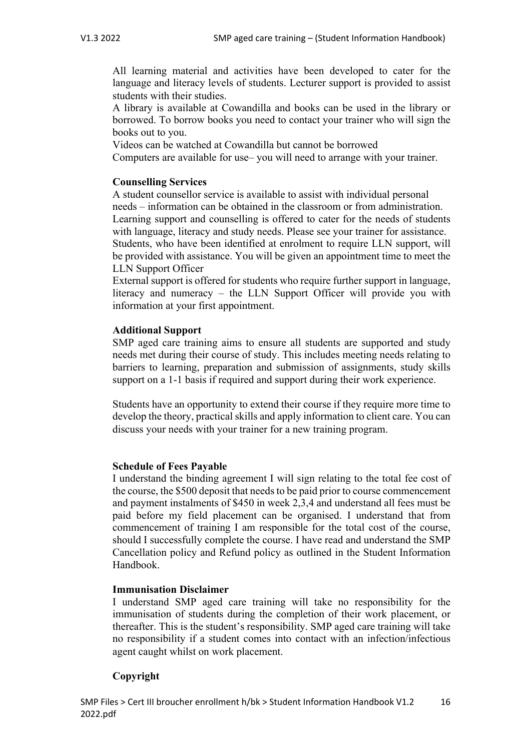All learning material and activities have been developed to cater for the language and literacy levels of students. Lecturer support is provided to assist students with their studies.

A library is available at Cowandilla and books can be used in the library or borrowed. To borrow books you need to contact your trainer who will sign the books out to you.

Videos can be watched at Cowandilla but cannot be borrowed

Computers are available for use– you will need to arrange with your trainer.

#### **Counselling Services**

A student counsellor service is available to assist with individual personal needs – information can be obtained in the classroom or from administration. Learning support and counselling is offered to cater for the needs of students with language, literacy and study needs. Please see your trainer for assistance. Students, who have been identified at enrolment to require LLN support, will be provided with assistance. You will be given an appointment time to meet the LLN Support Officer

External support is offered for students who require further support in language, literacy and numeracy – the LLN Support Officer will provide you with information at your first appointment.

#### **Additional Support**

SMP aged care training aims to ensure all students are supported and study needs met during their course of study. This includes meeting needs relating to barriers to learning, preparation and submission of assignments, study skills support on a 1-1 basis if required and support during their work experience.

Students have an opportunity to extend their course if they require more time to develop the theory, practical skills and apply information to client care. You can discuss your needs with your trainer for a new training program.

#### **Schedule of Fees Payable**

I understand the binding agreement I will sign relating to the total fee cost of the course, the \$500 deposit that needs to be paid prior to course commencement and payment instalments of \$450 in week 2,3,4 and understand all fees must be paid before my field placement can be organised. I understand that from commencement of training I am responsible for the total cost of the course, should I successfully complete the course. I have read and understand the SMP Cancellation policy and Refund policy as outlined in the Student Information Handbook.

#### **Immunisation Disclaimer**

I understand SMP aged care training will take no responsibility for the immunisation of students during the completion of their work placement, or thereafter. This is the student's responsibility. SMP aged care training will take no responsibility if a student comes into contact with an infection/infectious agent caught whilst on work placement.

### **Copyright**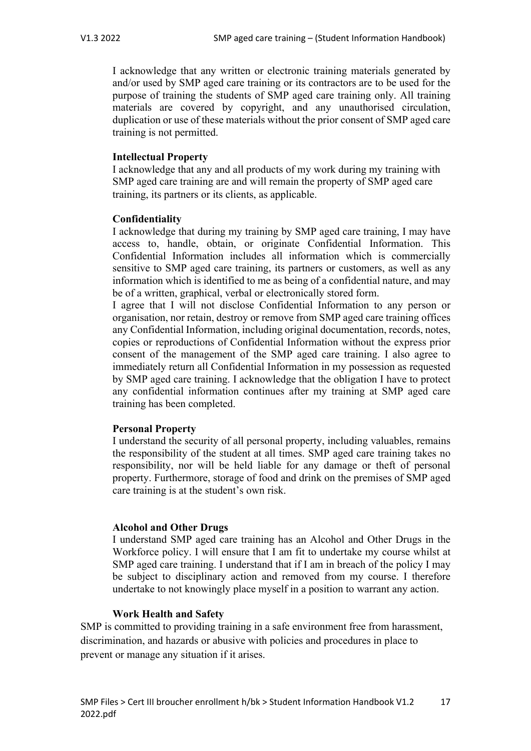I acknowledge that any written or electronic training materials generated by and/or used by SMP aged care training or its contractors are to be used for the purpose of training the students of SMP aged care training only. All training materials are covered by copyright, and any unauthorised circulation, duplication or use of these materials without the prior consent of SMP aged care training is not permitted.

### **Intellectual Property**

I acknowledge that any and all products of my work during my training with SMP aged care training are and will remain the property of SMP aged care training, its partners or its clients, as applicable.

### **Confidentiality**

I acknowledge that during my training by SMP aged care training, I may have access to, handle, obtain, or originate Confidential Information. This Confidential Information includes all information which is commercially sensitive to SMP aged care training, its partners or customers, as well as any information which is identified to me as being of a confidential nature, and may be of a written, graphical, verbal or electronically stored form.

I agree that I will not disclose Confidential Information to any person or organisation, nor retain, destroy or remove from SMP aged care training offices any Confidential Information, including original documentation, records, notes, copies or reproductions of Confidential Information without the express prior consent of the management of the SMP aged care training. I also agree to immediately return all Confidential Information in my possession as requested by SMP aged care training. I acknowledge that the obligation I have to protect any confidential information continues after my training at SMP aged care training has been completed.

### **Personal Property**

I understand the security of all personal property, including valuables, remains the responsibility of the student at all times. SMP aged care training takes no responsibility, nor will be held liable for any damage or theft of personal property. Furthermore, storage of food and drink on the premises of SMP aged care training is at the student's own risk.

#### **Alcohol and Other Drugs**

I understand SMP aged care training has an Alcohol and Other Drugs in the Workforce policy. I will ensure that I am fit to undertake my course whilst at SMP aged care training. I understand that if I am in breach of the policy I may be subject to disciplinary action and removed from my course. I therefore undertake to not knowingly place myself in a position to warrant any action.

#### **Work Health and Safety**

SMP is committed to providing training in a safe environment free from harassment, discrimination, and hazards or abusive with policies and procedures in place to prevent or manage any situation if it arises.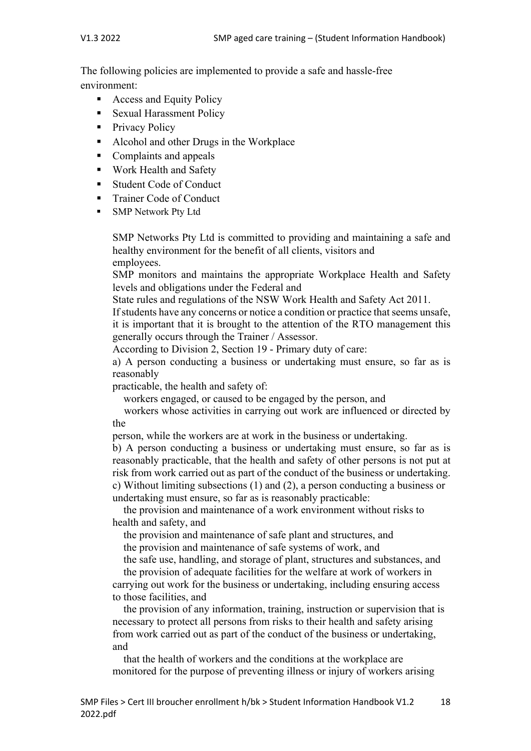The following policies are implemented to provide a safe and hassle-free environment:

- Access and Equity Policy
- Sexual Harassment Policy
- Privacy Policy
- Alcohol and other Drugs in the Workplace
- Complaints and appeals
- Work Health and Safety
- Student Code of Conduct
- § Trainer Code of Conduct
- § SMP Network Pty Ltd

SMP Networks Pty Ltd is committed to providing and maintaining a safe and healthy environment for the benefit of all clients, visitors and employees.

SMP monitors and maintains the appropriate Workplace Health and Safety levels and obligations under the Federal and

State rules and regulations of the NSW Work Health and Safety Act 2011.

If students have any concerns or notice a condition or practice that seems unsafe, it is important that it is brought to the attention of the RTO management this generally occurs through the Trainer / Assessor.

According to Division 2, Section 19 - Primary duty of care:

a) A person conducting a business or undertaking must ensure, so far as is reasonably

practicable, the health and safety of:

workers engaged, or caused to be engaged by the person, and

 workers whose activities in carrying out work are influenced or directed by the

person, while the workers are at work in the business or undertaking.

b) A person conducting a business or undertaking must ensure, so far as is reasonably practicable, that the health and safety of other persons is not put at risk from work carried out as part of the conduct of the business or undertaking. c) Without limiting subsections (1) and (2), a person conducting a business or undertaking must ensure, so far as is reasonably practicable:

 the provision and maintenance of a work environment without risks to health and safety, and

 the provision and maintenance of safe plant and structures, and the provision and maintenance of safe systems of work, and

the safe use, handling, and storage of plant, structures and substances, and

 the provision of adequate facilities for the welfare at work of workers in carrying out work for the business or undertaking, including ensuring access to those facilities, and

 the provision of any information, training, instruction or supervision that is necessary to protect all persons from risks to their health and safety arising from work carried out as part of the conduct of the business or undertaking, and

 that the health of workers and the conditions at the workplace are monitored for the purpose of preventing illness or injury of workers arising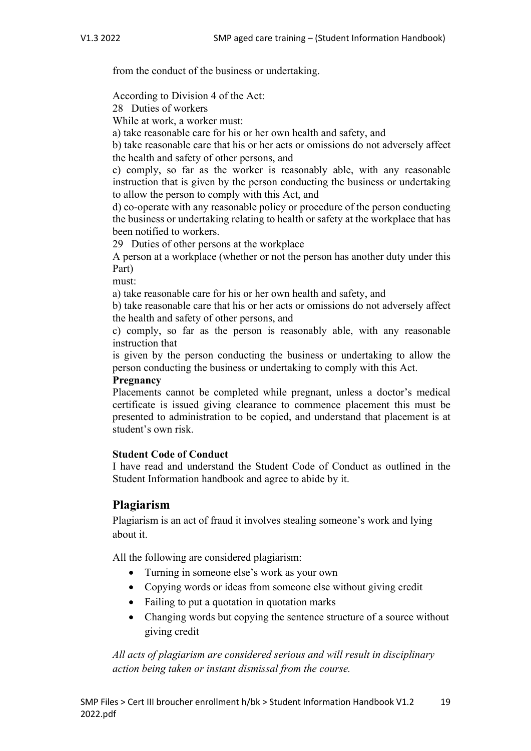from the conduct of the business or undertaking.

According to Division 4 of the Act:

28 Duties of workers

While at work, a worker must:

a) take reasonable care for his or her own health and safety, and

b) take reasonable care that his or her acts or omissions do not adversely affect the health and safety of other persons, and

c) comply, so far as the worker is reasonably able, with any reasonable instruction that is given by the person conducting the business or undertaking to allow the person to comply with this Act, and

d) co-operate with any reasonable policy or procedure of the person conducting the business or undertaking relating to health or safety at the workplace that has been notified to workers.

29 Duties of other persons at the workplace

A person at a workplace (whether or not the person has another duty under this Part)

must:

a) take reasonable care for his or her own health and safety, and

b) take reasonable care that his or her acts or omissions do not adversely affect the health and safety of other persons, and

c) comply, so far as the person is reasonably able, with any reasonable instruction that

is given by the person conducting the business or undertaking to allow the person conducting the business or undertaking to comply with this Act.

### **Pregnancy**

Placements cannot be completed while pregnant, unless a doctor's medical certificate is issued giving clearance to commence placement this must be presented to administration to be copied, and understand that placement is at student's own risk.

### **Student Code of Conduct**

I have read and understand the Student Code of Conduct as outlined in the Student Information handbook and agree to abide by it.

# **Plagiarism**

Plagiarism is an act of fraud it involves stealing someone's work and lying about it.

All the following are considered plagiarism:

- Turning in someone else's work as your own
- Copying words or ideas from someone else without giving credit
- Failing to put a quotation in quotation marks
- Changing words but copying the sentence structure of a source without giving credit

*All acts of plagiarism are considered serious and will result in disciplinary action being taken or instant dismissal from the course.*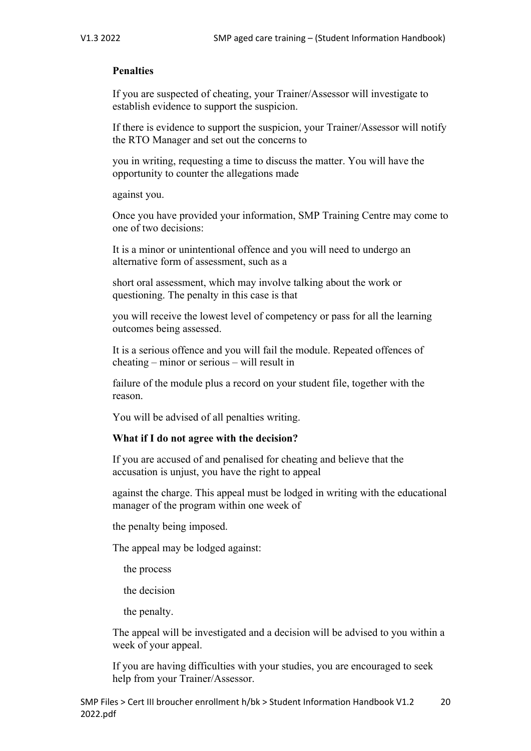### **Penalties**

If you are suspected of cheating, your Trainer/Assessor will investigate to establish evidence to support the suspicion.

If there is evidence to support the suspicion, your Trainer/Assessor will notify the RTO Manager and set out the concerns to

you in writing, requesting a time to discuss the matter. You will have the opportunity to counter the allegations made

against you.

Once you have provided your information, SMP Training Centre may come to one of two decisions:

It is a minor or unintentional offence and you will need to undergo an alternative form of assessment, such as a

short oral assessment, which may involve talking about the work or questioning. The penalty in this case is that

you will receive the lowest level of competency or pass for all the learning outcomes being assessed.

It is a serious offence and you will fail the module. Repeated offences of cheating – minor or serious – will result in

failure of the module plus a record on your student file, together with the reason.

You will be advised of all penalties writing.

### **What if I do not agree with the decision?**

If you are accused of and penalised for cheating and believe that the accusation is unjust, you have the right to appeal

against the charge. This appeal must be lodged in writing with the educational manager of the program within one week of

the penalty being imposed.

The appeal may be lodged against:

the process

the decision

the penalty.

The appeal will be investigated and a decision will be advised to you within a week of your appeal.

If you are having difficulties with your studies, you are encouraged to seek help from your Trainer/Assessor.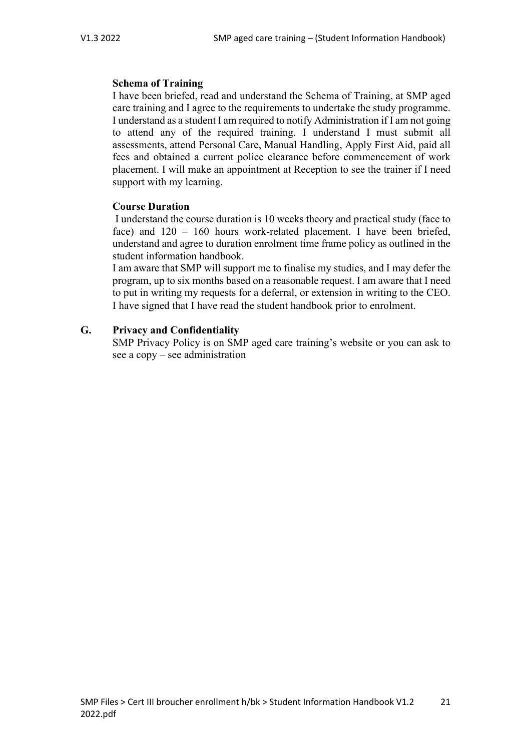### **Schema of Training**

I have been briefed, read and understand the Schema of Training, at SMP aged care training and I agree to the requirements to undertake the study programme. I understand as a student I am required to notify Administration if I am not going to attend any of the required training. I understand I must submit all assessments, attend Personal Care, Manual Handling, Apply First Aid, paid all fees and obtained a current police clearance before commencement of work placement. I will make an appointment at Reception to see the trainer if I need support with my learning.

## **Course Duration**

I understand the course duration is 10 weeks theory and practical study (face to face) and 120 – 160 hours work-related placement. I have been briefed, understand and agree to duration enrolment time frame policy as outlined in the student information handbook.

I am aware that SMP will support me to finalise my studies, and I may defer the program, up to six months based on a reasonable request. I am aware that I need to put in writing my requests for a deferral, or extension in writing to the CEO. I have signed that I have read the student handbook prior to enrolment.

## **G. Privacy and Confidentiality**

SMP Privacy Policy is on SMP aged care training's website or you can ask to see a copy – see administration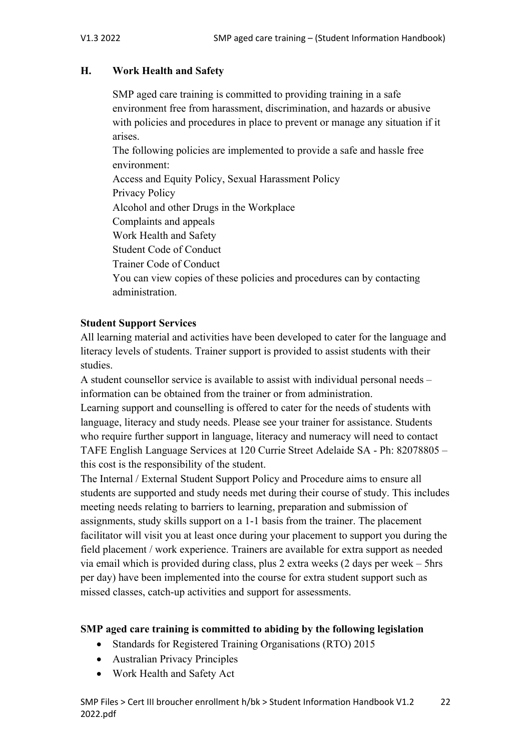## **H. Work Health and Safety**

SMP aged care training is committed to providing training in a safe environment free from harassment, discrimination, and hazards or abusive with policies and procedures in place to prevent or manage any situation if it arises.

The following policies are implemented to provide a safe and hassle free environment:

Access and Equity Policy, Sexual Harassment Policy Privacy Policy Alcohol and other Drugs in the Workplace Complaints and appeals Work Health and Safety Student Code of Conduct Trainer Code of Conduct You can view copies of these policies and procedures can by contacting administration.

## **Student Support Services**

All learning material and activities have been developed to cater for the language and literacy levels of students. Trainer support is provided to assist students with their studies.

A student counsellor service is available to assist with individual personal needs – information can be obtained from the trainer or from administration.

Learning support and counselling is offered to cater for the needs of students with language, literacy and study needs. Please see your trainer for assistance. Students who require further support in language, literacy and numeracy will need to contact TAFE English Language Services at 120 Currie Street Adelaide SA - Ph: 82078805 – this cost is the responsibility of the student.

The Internal / External Student Support Policy and Procedure aims to ensure all students are supported and study needs met during their course of study. This includes meeting needs relating to barriers to learning, preparation and submission of assignments, study skills support on a 1-1 basis from the trainer. The placement facilitator will visit you at least once during your placement to support you during the field placement / work experience. Trainers are available for extra support as needed via email which is provided during class, plus 2 extra weeks (2 days per week – 5hrs per day) have been implemented into the course for extra student support such as missed classes, catch-up activities and support for assessments.

# **SMP aged care training is committed to abiding by the following legislation**

- Standards for Registered Training Organisations (RTO) 2015
- Australian Privacy Principles
- Work Health and Safety Act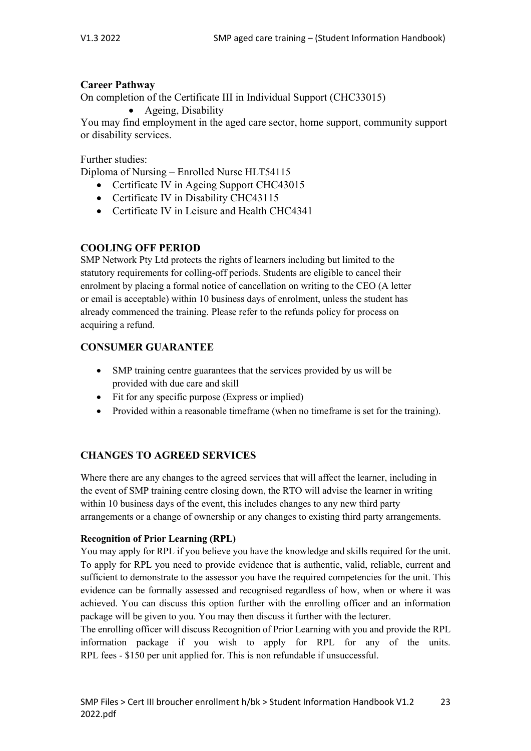### **Career Pathway**

On completion of the Certificate III in Individual Support (CHC33015)

• Ageing, Disability

You may find employment in the aged care sector, home support, community support or disability services.

Further studies:

Diploma of Nursing – Enrolled Nurse HLT54115

- Certificate IV in Ageing Support CHC43015
- Certificate IV in Disability CHC43115
- Certificate IV in Leisure and Health CHC4341

### **COOLING OFF PERIOD**

SMP Network Pty Ltd protects the rights of learners including but limited to the statutory requirements for colling-off periods. Students are eligible to cancel their enrolment by placing a formal notice of cancellation on writing to the CEO (A letter or email is acceptable) within 10 business days of enrolment, unless the student has already commenced the training. Please refer to the refunds policy for process on acquiring a refund.

### **CONSUMER GUARANTEE**

- SMP training centre guarantees that the services provided by us will be provided with due care and skill
- Fit for any specific purpose (Express or implied)
- Provided within a reasonable timeframe (when no timeframe is set for the training).

### **CHANGES TO AGREED SERVICES**

Where there are any changes to the agreed services that will affect the learner, including in the event of SMP training centre closing down, the RTO will advise the learner in writing within 10 business days of the event, this includes changes to any new third party arrangements or a change of ownership or any changes to existing third party arrangements.

### **Recognition of Prior Learning (RPL)**

You may apply for RPL if you believe you have the knowledge and skills required for the unit. To apply for RPL you need to provide evidence that is authentic, valid, reliable, current and sufficient to demonstrate to the assessor you have the required competencies for the unit. This evidence can be formally assessed and recognised regardless of how, when or where it was achieved. You can discuss this option further with the enrolling officer and an information package will be given to you. You may then discuss it further with the lecturer.

The enrolling officer will discuss Recognition of Prior Learning with you and provide the RPL information package if you wish to apply for RPL for any of the units. RPL fees - \$150 per unit applied for. This is non refundable if unsuccessful.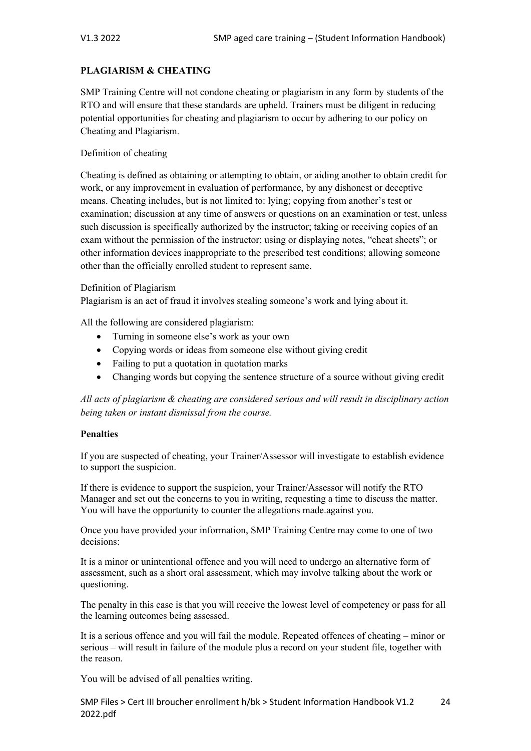#### **PLAGIARISM & CHEATING**

SMP Training Centre will not condone cheating or plagiarism in any form by students of the RTO and will ensure that these standards are upheld. Trainers must be diligent in reducing potential opportunities for cheating and plagiarism to occur by adhering to our policy on Cheating and Plagiarism.

#### Definition of cheating

Cheating is defined as obtaining or attempting to obtain, or aiding another to obtain credit for work, or any improvement in evaluation of performance, by any dishonest or deceptive means. Cheating includes, but is not limited to: lying; copying from another's test or examination; discussion at any time of answers or questions on an examination or test, unless such discussion is specifically authorized by the instructor; taking or receiving copies of an exam without the permission of the instructor; using or displaying notes, "cheat sheets"; or other information devices inappropriate to the prescribed test conditions; allowing someone other than the officially enrolled student to represent same.

#### Definition of Plagiarism

Plagiarism is an act of fraud it involves stealing someone's work and lying about it.

All the following are considered plagiarism:

- Turning in someone else's work as your own
- Copying words or ideas from someone else without giving credit
- Failing to put a quotation in quotation marks
- Changing words but copying the sentence structure of a source without giving credit

*All acts of plagiarism & cheating are considered serious and will result in disciplinary action being taken or instant dismissal from the course.*

#### **Penalties**

If you are suspected of cheating, your Trainer/Assessor will investigate to establish evidence to support the suspicion.

If there is evidence to support the suspicion, your Trainer/Assessor will notify the RTO Manager and set out the concerns to you in writing, requesting a time to discuss the matter. You will have the opportunity to counter the allegations made.against you.

Once you have provided your information, SMP Training Centre may come to one of two decisions:

It is a minor or unintentional offence and you will need to undergo an alternative form of assessment, such as a short oral assessment, which may involve talking about the work or questioning.

The penalty in this case is that you will receive the lowest level of competency or pass for all the learning outcomes being assessed.

It is a serious offence and you will fail the module. Repeated offences of cheating – minor or serious – will result in failure of the module plus a record on your student file, together with the reason.

You will be advised of all penalties writing.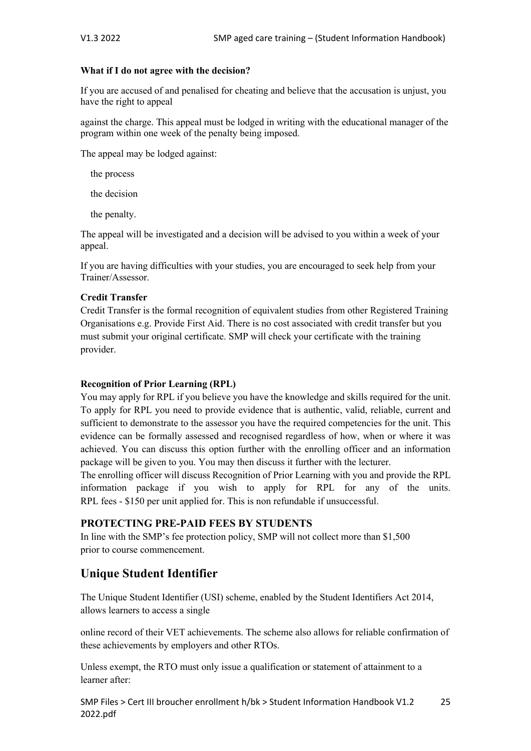#### **What if I do not agree with the decision?**

If you are accused of and penalised for cheating and believe that the accusation is unjust, you have the right to appeal

against the charge. This appeal must be lodged in writing with the educational manager of the program within one week of the penalty being imposed.

The appeal may be lodged against:

the process

the decision

the penalty.

The appeal will be investigated and a decision will be advised to you within a week of your appeal.

If you are having difficulties with your studies, you are encouraged to seek help from your Trainer/Assessor.

#### **Credit Transfer**

Credit Transfer is the formal recognition of equivalent studies from other Registered Training Organisations e.g. Provide First Aid. There is no cost associated with credit transfer but you must submit your original certificate. SMP will check your certificate with the training provider.

#### **Recognition of Prior Learning (RPL)**

You may apply for RPL if you believe you have the knowledge and skills required for the unit. To apply for RPL you need to provide evidence that is authentic, valid, reliable, current and sufficient to demonstrate to the assessor you have the required competencies for the unit. This evidence can be formally assessed and recognised regardless of how, when or where it was achieved. You can discuss this option further with the enrolling officer and an information package will be given to you. You may then discuss it further with the lecturer.

The enrolling officer will discuss Recognition of Prior Learning with you and provide the RPL information package if you wish to apply for RPL for any of the units. RPL fees - \$150 per unit applied for. This is non refundable if unsuccessful.

### **PROTECTING PRE-PAID FEES BY STUDENTS**

In line with the SMP's fee protection policy, SMP will not collect more than \$1,500 prior to course commencement.

# **Unique Student Identifier**

The Unique Student Identifier (USI) scheme, enabled by the Student Identifiers Act 2014, allows learners to access a single

online record of their VET achievements. The scheme also allows for reliable confirmation of these achievements by employers and other RTOs.

Unless exempt, the RTO must only issue a qualification or statement of attainment to a learner after: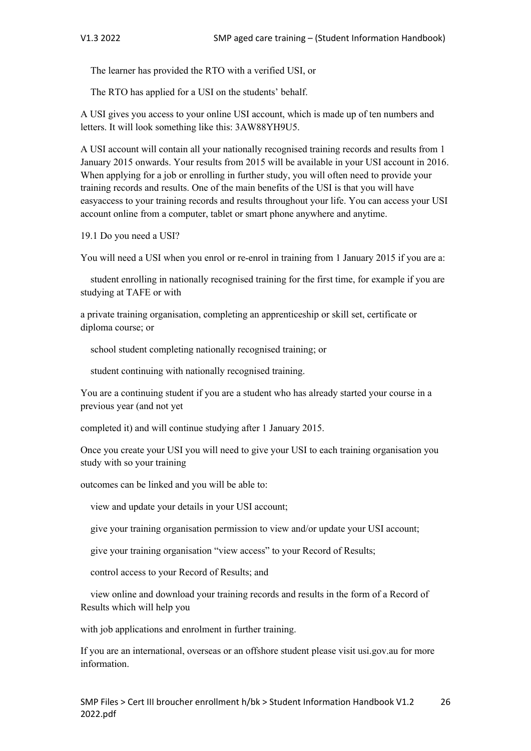The learner has provided the RTO with a verified USI, or

The RTO has applied for a USI on the students' behalf.

A USI gives you access to your online USI account, which is made up of ten numbers and letters. It will look something like this: 3AW88YH9U5.

A USI account will contain all your nationally recognised training records and results from 1 January 2015 onwards. Your results from 2015 will be available in your USI account in 2016. When applying for a job or enrolling in further study, you will often need to provide your training records and results. One of the main benefits of the USI is that you will have easyaccess to your training records and results throughout your life. You can access your USI account online from a computer, tablet or smart phone anywhere and anytime.

19.1 Do you need a USI?

You will need a USI when you enrol or re-enrol in training from 1 January 2015 if you are a:

 student enrolling in nationally recognised training for the first time, for example if you are studying at TAFE or with

a private training organisation, completing an apprenticeship or skill set, certificate or diploma course; or

school student completing nationally recognised training; or

student continuing with nationally recognised training.

You are a continuing student if you are a student who has already started your course in a previous year (and not yet

completed it) and will continue studying after 1 January 2015.

Once you create your USI you will need to give your USI to each training organisation you study with so your training

outcomes can be linked and you will be able to:

view and update your details in your USI account;

give your training organisation permission to view and/or update your USI account;

give your training organisation "view access" to your Record of Results;

control access to your Record of Results; and

 view online and download your training records and results in the form of a Record of Results which will help you

with job applications and enrolment in further training.

If you are an international, overseas or an offshore student please visit usi.gov.au for more information.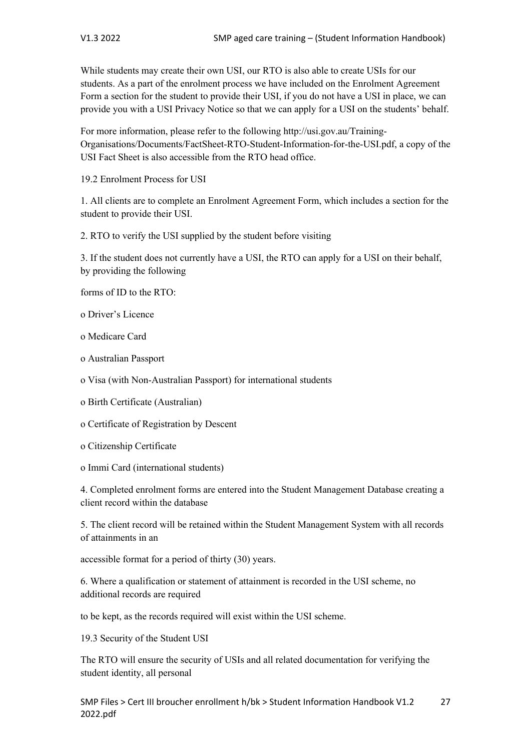While students may create their own USI, our RTO is also able to create USIs for our students. As a part of the enrolment process we have included on the Enrolment Agreement Form a section for the student to provide their USI, if you do not have a USI in place, we can provide you with a USI Privacy Notice so that we can apply for a USI on the students' behalf.

For more information, please refer to the following http://usi.gov.au/Training-Organisations/Documents/FactSheet-RTO-Student-Information-for-the-USI.pdf, a copy of the USI Fact Sheet is also accessible from the RTO head office.

19.2 Enrolment Process for USI

1. All clients are to complete an Enrolment Agreement Form, which includes a section for the student to provide their USI.

2. RTO to verify the USI supplied by the student before visiting

3. If the student does not currently have a USI, the RTO can apply for a USI on their behalf, by providing the following

forms of ID to the RTO:

o Driver's Licence

o Medicare Card

o Australian Passport

o Visa (with Non-Australian Passport) for international students

o Birth Certificate (Australian)

o Certificate of Registration by Descent

o Citizenship Certificate

o Immi Card (international students)

4. Completed enrolment forms are entered into the Student Management Database creating a client record within the database

5. The client record will be retained within the Student Management System with all records of attainments in an

accessible format for a period of thirty (30) years.

6. Where a qualification or statement of attainment is recorded in the USI scheme, no additional records are required

to be kept, as the records required will exist within the USI scheme.

19.3 Security of the Student USI

The RTO will ensure the security of USIs and all related documentation for verifying the student identity, all personal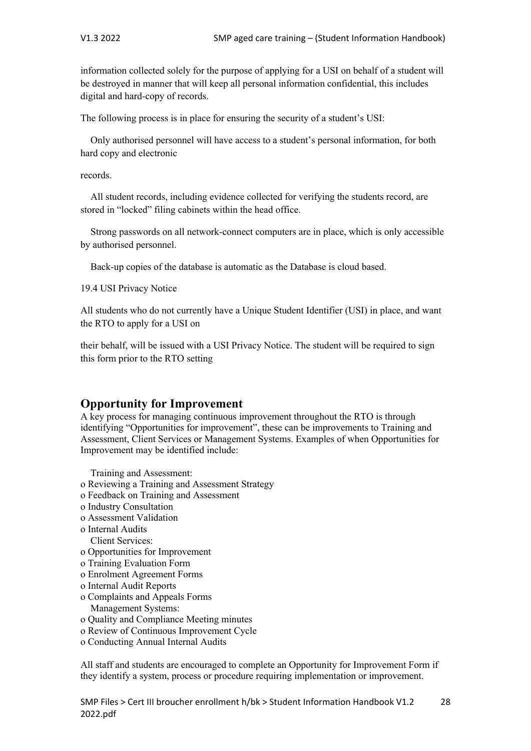information collected solely for the purpose of applying for a USI on behalf of a student will be destroyed in manner that will keep all personal information confidential, this includes digital and hard-copy of records.

The following process is in place for ensuring the security of a student's USI:

 Only authorised personnel will have access to a student's personal information, for both hard copy and electronic

records.

 All student records, including evidence collected for verifying the students record, are stored in "locked" filing cabinets within the head office.

 Strong passwords on all network-connect computers are in place, which is only accessible by authorised personnel.

Back-up copies of the database is automatic as the Database is cloud based.

19.4 USI Privacy Notice

All students who do not currently have a Unique Student Identifier (USI) in place, and want the RTO to apply for a USI on

their behalf, will be issued with a USI Privacy Notice. The student will be required to sign this form prior to the RTO setting

## **Opportunity for Improvement**

A key process for managing continuous improvement throughout the RTO is through identifying "Opportunities for improvement", these can be improvements to Training and Assessment, Client Services or Management Systems. Examples of when Opportunities for Improvement may be identified include:

Training and Assessment:

- o Reviewing a Training and Assessment Strategy
- o Feedback on Training and Assessment
- o Industry Consultation
- o Assessment Validation
- o Internal Audits
- Client Services:
- o Opportunities for Improvement
- o Training Evaluation Form
- o Enrolment Agreement Forms
- o Internal Audit Reports
- o Complaints and Appeals Forms
	- Management Systems:
- o Quality and Compliance Meeting minutes
- o Review of Continuous Improvement Cycle
- o Conducting Annual Internal Audits

All staff and students are encouraged to complete an Opportunity for Improvement Form if they identify a system, process or procedure requiring implementation or improvement.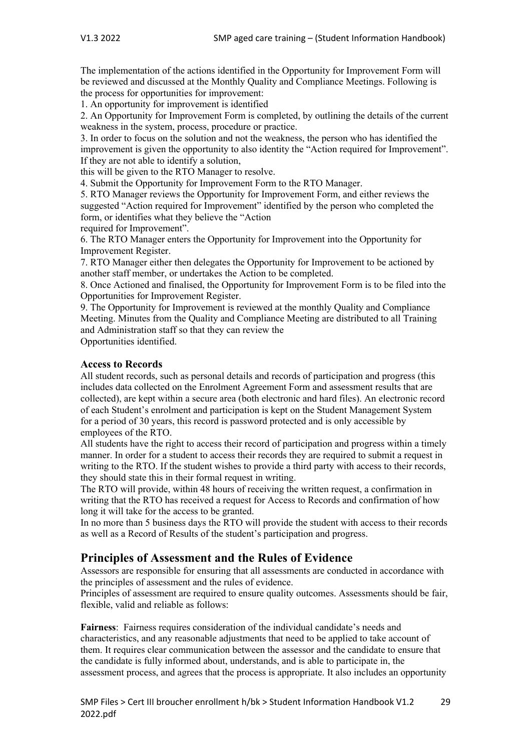The implementation of the actions identified in the Opportunity for Improvement Form will be reviewed and discussed at the Monthly Quality and Compliance Meetings. Following is the process for opportunities for improvement:

1. An opportunity for improvement is identified

2. An Opportunity for Improvement Form is completed, by outlining the details of the current weakness in the system, process, procedure or practice.

3. In order to focus on the solution and not the weakness, the person who has identified the improvement is given the opportunity to also identity the "Action required for Improvement". If they are not able to identify a solution,

this will be given to the RTO Manager to resolve.

4. Submit the Opportunity for Improvement Form to the RTO Manager.

5. RTO Manager reviews the Opportunity for Improvement Form, and either reviews the suggested "Action required for Improvement" identified by the person who completed the form, or identifies what they believe the "Action

required for Improvement".

6. The RTO Manager enters the Opportunity for Improvement into the Opportunity for Improvement Register.

7. RTO Manager either then delegates the Opportunity for Improvement to be actioned by another staff member, or undertakes the Action to be completed.

8. Once Actioned and finalised, the Opportunity for Improvement Form is to be filed into the Opportunities for Improvement Register.

9. The Opportunity for Improvement is reviewed at the monthly Quality and Compliance Meeting. Minutes from the Quality and Compliance Meeting are distributed to all Training and Administration staff so that they can review the

Opportunities identified.

#### **Access to Records**

All student records, such as personal details and records of participation and progress (this includes data collected on the Enrolment Agreement Form and assessment results that are collected), are kept within a secure area (both electronic and hard files). An electronic record of each Student's enrolment and participation is kept on the Student Management System for a period of 30 years, this record is password protected and is only accessible by employees of the RTO.

All students have the right to access their record of participation and progress within a timely manner. In order for a student to access their records they are required to submit a request in writing to the RTO. If the student wishes to provide a third party with access to their records, they should state this in their formal request in writing.

The RTO will provide, within 48 hours of receiving the written request, a confirmation in writing that the RTO has received a request for Access to Records and confirmation of how long it will take for the access to be granted.

In no more than 5 business days the RTO will provide the student with access to their records as well as a Record of Results of the student's participation and progress.

## **Principles of Assessment and the Rules of Evidence**

Assessors are responsible for ensuring that all assessments are conducted in accordance with the principles of assessment and the rules of evidence.

Principles of assessment are required to ensure quality outcomes. Assessments should be fair, flexible, valid and reliable as follows:

**Fairness**: Fairness requires consideration of the individual candidate's needs and characteristics, and any reasonable adjustments that need to be applied to take account of them. It requires clear communication between the assessor and the candidate to ensure that the candidate is fully informed about, understands, and is able to participate in, the assessment process, and agrees that the process is appropriate. It also includes an opportunity